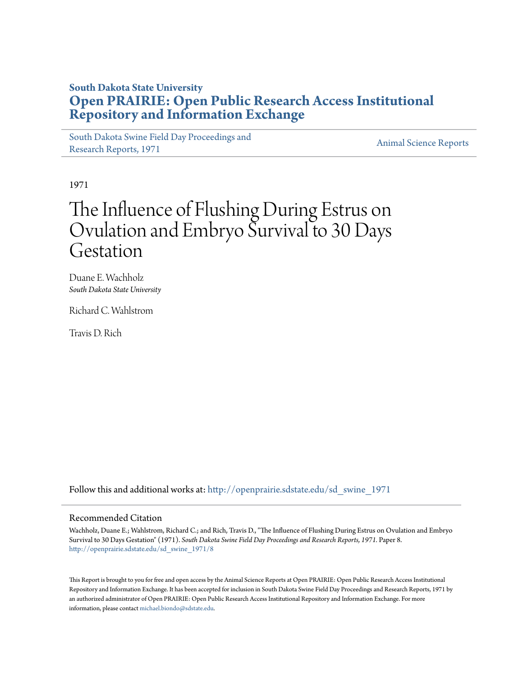## **South Dakota State University [Open PRAIRIE: Open Public Research Access Institutional](http://openprairie.sdstate.edu?utm_source=openprairie.sdstate.edu%2Fsd_swine_1971%2F8&utm_medium=PDF&utm_campaign=PDFCoverPages) [Repository and Information Exchange](http://openprairie.sdstate.edu?utm_source=openprairie.sdstate.edu%2Fsd_swine_1971%2F8&utm_medium=PDF&utm_campaign=PDFCoverPages)**

[South Dakota Swine Field Day Proceedings and](http://openprairie.sdstate.edu/sd_swine_1971?utm_source=openprairie.sdstate.edu%2Fsd_swine_1971%2F8&utm_medium=PDF&utm_campaign=PDFCoverPages) [Research Reports, 1971](http://openprairie.sdstate.edu/sd_swine_1971?utm_source=openprairie.sdstate.edu%2Fsd_swine_1971%2F8&utm_medium=PDF&utm_campaign=PDFCoverPages)<br>Research Reports, 1971

1971

# The Influence of Flushing During Estrus on Ovulation and Embryo Survival to 30 Days Gestation

Duane E. Wachholz *South Dakota State University*

Richard C. Wahlstrom

Travis D. Rich

Follow this and additional works at: [http://openprairie.sdstate.edu/sd\\_swine\\_1971](http://openprairie.sdstate.edu/sd_swine_1971?utm_source=openprairie.sdstate.edu%2Fsd_swine_1971%2F8&utm_medium=PDF&utm_campaign=PDFCoverPages)

### Recommended Citation

Wachholz, Duane E.; Wahlstrom, Richard C.; and Rich, Travis D., "The Influence of Flushing During Estrus on Ovulation and Embryo Survival to 30 Days Gestation" (1971). *South Dakota Swine Field Day Proceedings and Research Reports, 1971.* Paper 8. [http://openprairie.sdstate.edu/sd\\_swine\\_1971/8](http://openprairie.sdstate.edu/sd_swine_1971/8?utm_source=openprairie.sdstate.edu%2Fsd_swine_1971%2F8&utm_medium=PDF&utm_campaign=PDFCoverPages)

This Report is brought to you for free and open access by the Animal Science Reports at Open PRAIRIE: Open Public Research Access Institutional Repository and Information Exchange. It has been accepted for inclusion in South Dakota Swine Field Day Proceedings and Research Reports, 1971 by an authorized administrator of Open PRAIRIE: Open Public Research Access Institutional Repository and Information Exchange. For more information, please contact [michael.biondo@sdstate.edu](mailto:michael.biondo@sdstate.edu).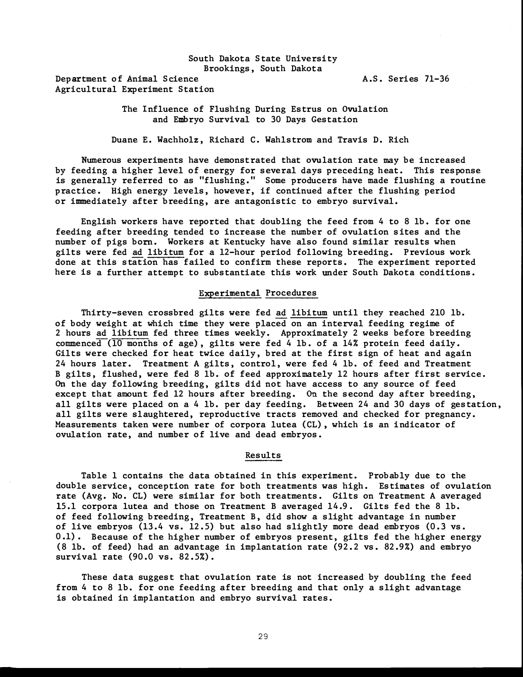#### South Dakota State University Brookings , South Dakota

Department of Animal Science Agricultural Experiment Station A. S. Series 71-36

The Influence of Flushing During Estrus on Ovulation and Embryo Survival to 30 Days Gestation

Duane E. Wachholz, Richard C. Wahls trom and Travis D. Rich

Numerous experiments have demonstrated that ovulation rate may be increased by feeding a higher level of energy for several days preceding heat. This response is generally referred to as "flushing. " Some producers have made flushing a routine practice. High energy levels , however, if continued after the flushing period or immediately after breeding, are antagonistic to embryo survival.

English workers have reported that doubling the feed from 4 to 8 lb. for one feeding after breeding tended to increase the number of ovulation sites and the number of pigs born. Workers at Kentucky have also found similar results when gilts were fed ad libitum for a 12-hour period following breeding. Previous work done at this station has failed to confirm these reports. The experiment reported here is a further attempt to substantiate this work under South Dakota conditions.

#### Experimental Procedures

Thirty-seven crossbred gilts were fed ad libitum until they reached 210 lb. of b ody weight at which time they were placed on an interval feeding regime of 2 hours ad libitum fed three times weekly. Approximately 2 weeks before breeding commenced (10 months of age) , gilts were fed 4 lb. of a 14% protein feed daily. Gilts were checked for heat twice daily, bred at the first sign of heat and again 24 hours later. Treatment A gilts, control, were fed 4 lb. of feed and Treatment B gilts, flushed, were fed 8 lb. of feed approximately 12 hours after first service. On the day following breeding, gilts did not have access to any source of feed except that amount fed 12 hours after breeding. On the second day after breeding, all gilts were placed on a 4 lb. per day feeding. Between 24 and 30 days of gestation, all gilts were slaughtered, reproductive tracts removed and checked for pregnancy. Measurements taken were number of corpora lutea (CL), which is an indicator of ovulation rate, and number of live and dead embryos.

#### **Results**

Table 1 contains the data obtained in this experiment. Probably due to the double service, conception rate for both treatments was high. Estimates of ovulation rate (Avg. No. CL) were similar for both treatments. Gilts on Treatment A averaged 15.1 corpora lutea and those on Treatment B averaged 14.9. Gilts fed the 8 lb. of feed following b reeding, Treatment B, did show a s light advantage in number of live embryos  $(13.4 \text{ vs. } 12.5)$  but also had slightly more dead embryos  $(0.3 \text{ vs. } 12.5)$ 0.1). Because of the higher number of embryos present, gilts fed the higher energy (8 lb. of feed) had an advantage in implantation rate (92. 2 vs. 82.9%) and embryo survival rate (90.0 vs. 82.5%).

These data suggest that ovulation rate is not increased by doubling the feed from 4 to 8 lb. for one feeding after breeding and that only a slight advantage is ob tained in implantation and embryo survival rates.